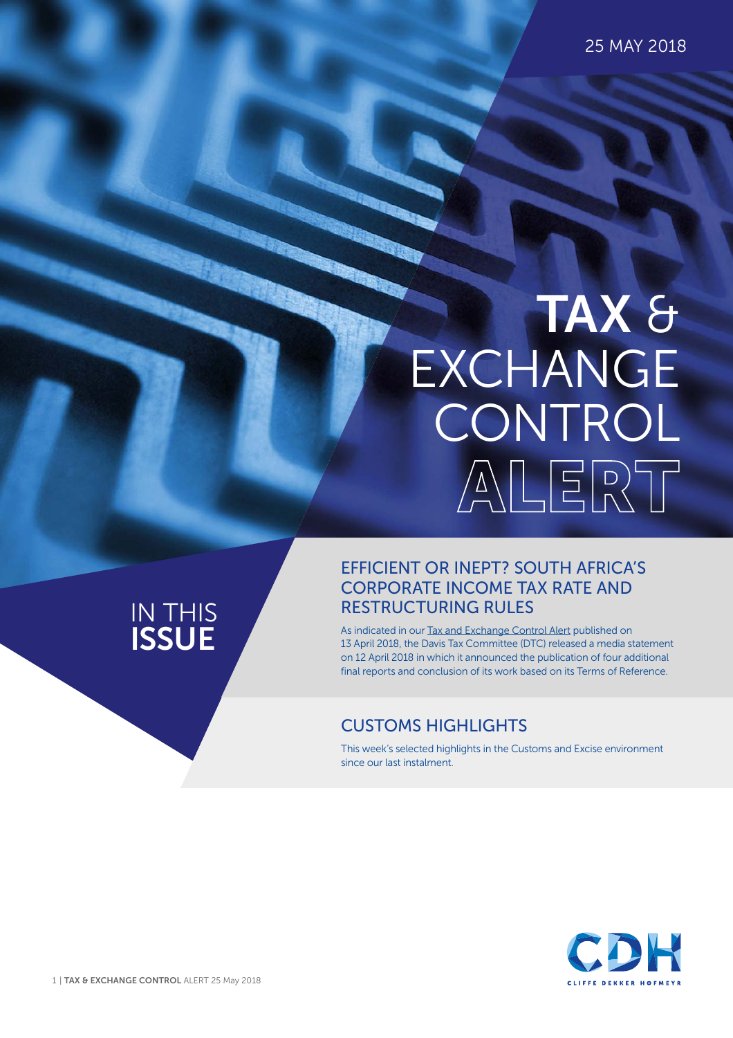25 MAY 2018

# **ALERT TAX** & **EXCHANGE** CONTROL

### IN THIS **ISSUE**

#### EFFICIENT OR INEPT? SOUTH AFRICA'S CORPORATE INCOME TAX RATE AND RESTRUCTURING RULES

As indicated in our [Tax and Exchange Control Alert](https://www.cliffedekkerhofmeyr.com/en/news/publications/2018/Tax/tax-alert-13-april-its-complete-the-davis-tax-committee-releases-its-final-reports-.html) published on 13 April 2018, the Davis Tax Committee (DTC) released a media statement on 12 April 2018 in which it announced the publication of four additional final reports and conclusion of its work based on its Terms of Reference.

### CUSTOMS HIGHLIGHTS

This week's selected highlights in the Customs and Excise environment since our last instalment.

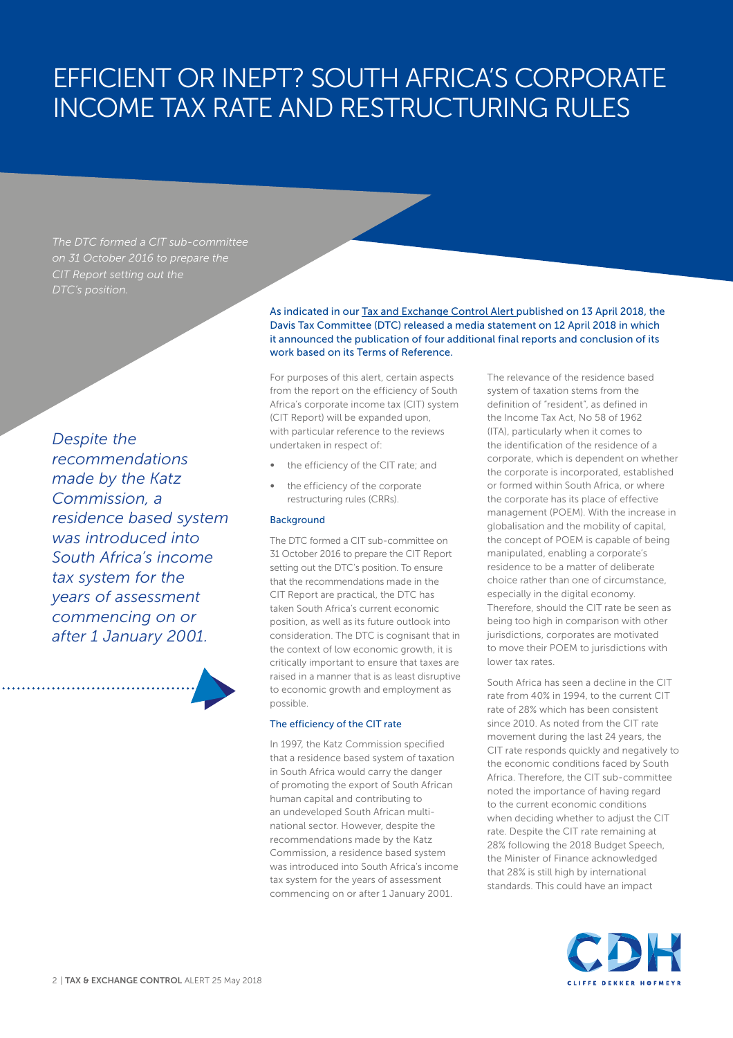*The DTC formed a CIT sub-committee on 31 October 2016 to prepare the CIT Report setting out the* 

*Despite the recommendations made by the Katz Commission, a residence based system was introduced into South Africa's income tax system for the years of assessment commencing on or after 1 January 2001.*

As indicated in our [Tax and Exchange Control Alert p](https://www.cliffedekkerhofmeyr.com/en/news/publications/2018/Tax/tax-alert-13-april-its-complete-the-davis-tax-committee-releases-its-final-reports-.html)ublished on 13 April 2018, the Davis Tax Committee (DTC) released a media statement on 12 April 2018 in which it announced the publication of four additional final reports and conclusion of its work based on its Terms of Reference.

For purposes of this alert, certain aspects from the report on the efficiency of South Africa's corporate income tax (CIT) system (CIT Report) will be expanded upon, with particular reference to the reviews undertaken in respect of:

- the efficiency of the CIT rate; and
- the efficiency of the corporate restructuring rules (CRRs).

#### **Background**

The DTC formed a CIT sub-committee on 31 October 2016 to prepare the CIT Report setting out the DTC's position. To ensure that the recommendations made in the CIT Report are practical, the DTC has taken South Africa's current economic position, as well as its future outlook into consideration. The DTC is cognisant that in the context of low economic growth, it is critically important to ensure that taxes are raised in a manner that is as least disruptive to economic growth and employment as possible.

#### The efficiency of the CIT rate

In 1997, the Katz Commission specified that a residence based system of taxation in South Africa would carry the danger of promoting the export of South African human capital and contributing to an undeveloped South African multinational sector. However, despite the recommendations made by the Katz Commission, a residence based system was introduced into South Africa's income tax system for the years of assessment commencing on or after 1 January 2001.

The relevance of the residence based system of taxation stems from the definition of "resident", as defined in the Income Tax Act, No 58 of 1962 (ITA), particularly when it comes to the identification of the residence of a corporate, which is dependent on whether the corporate is incorporated, established or formed within South Africa, or where the corporate has its place of effective management (POEM). With the increase in globalisation and the mobility of capital, the concept of POEM is capable of being manipulated, enabling a corporate's residence to be a matter of deliberate choice rather than one of circumstance, especially in the digital economy. Therefore, should the CIT rate be seen as being too high in comparison with other jurisdictions, corporates are motivated to move their POEM to jurisdictions with lower tax rates.

South Africa has seen a decline in the CIT rate from 40% in 1994, to the current CIT rate of 28% which has been consistent since 2010. As noted from the CIT rate movement during the last 24 years, the CIT rate responds quickly and negatively to the economic conditions faced by South Africa. Therefore, the CIT sub-committee noted the importance of having regard to the current economic conditions when deciding whether to adjust the CIT rate. Despite the CIT rate remaining at 28% following the 2018 Budget Speech, the Minister of Finance acknowledged that 28% is still high by international standards. This could have an impact

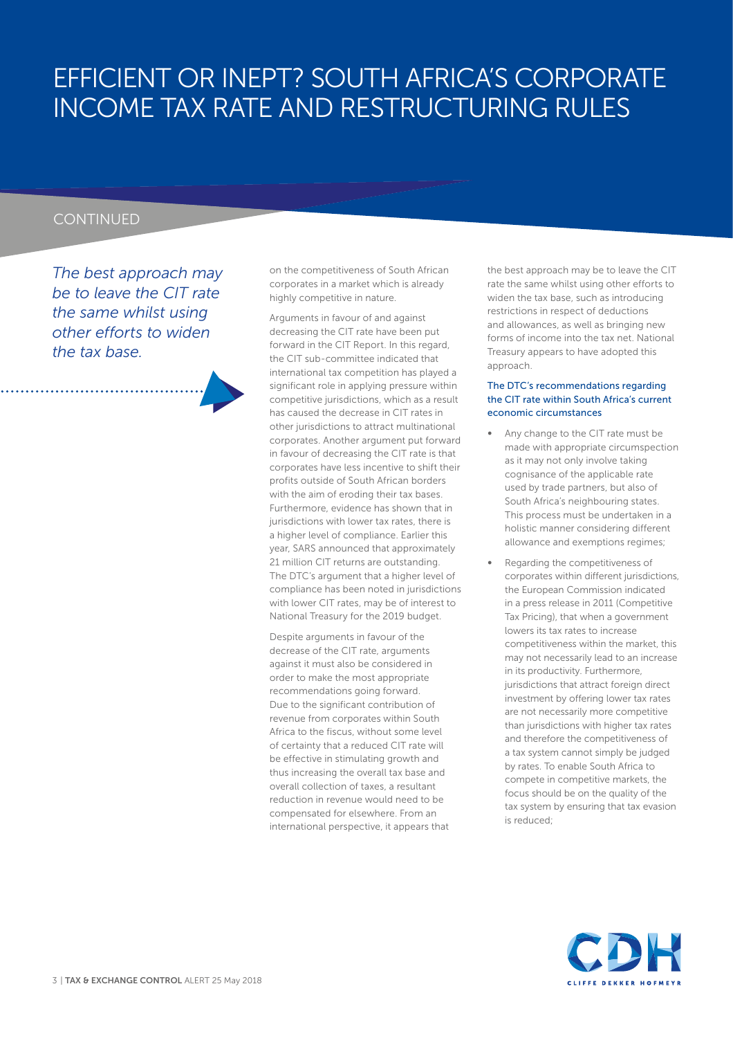#### **CONTINUED**

*The best approach may be to leave the CIT rate the same whilst using other efforts to widen the tax base.*

on the competitiveness of South African corporates in a market which is already highly competitive in nature.

Arguments in favour of and against decreasing the CIT rate have been put forward in the CIT Report. In this regard, the CIT sub-committee indicated that international tax competition has played a significant role in applying pressure within competitive jurisdictions, which as a result has caused the decrease in CIT rates in other jurisdictions to attract multinational corporates. Another argument put forward in favour of decreasing the CIT rate is that corporates have less incentive to shift their profits outside of South African borders with the aim of eroding their tax bases. Furthermore, evidence has shown that in jurisdictions with lower tax rates, there is a higher level of compliance. Earlier this year, SARS announced that approximately 21 million CIT returns are outstanding. The DTC's argument that a higher level of compliance has been noted in jurisdictions with lower CIT rates, may be of interest to National Treasury for the 2019 budget.

Despite arguments in favour of the decrease of the CIT rate, arguments against it must also be considered in order to make the most appropriate recommendations going forward. Due to the significant contribution of revenue from corporates within South Africa to the fiscus, without some level of certainty that a reduced CIT rate will be effective in stimulating growth and thus increasing the overall tax base and overall collection of taxes, a resultant reduction in revenue would need to be compensated for elsewhere. From an international perspective, it appears that the best approach may be to leave the CIT rate the same whilst using other efforts to widen the tax base, such as introducing restrictions in respect of deductions and allowances, as well as bringing new forms of income into the tax net. National Treasury appears to have adopted this approach.

#### The DTC's recommendations regarding the CIT rate within South Africa's current economic circumstances

- Any change to the CIT rate must be made with appropriate circumspection as it may not only involve taking cognisance of the applicable rate used by trade partners, but also of South Africa's neighbouring states. This process must be undertaken in a holistic manner considering different allowance and exemptions regimes;
- Regarding the competitiveness of corporates within different jurisdictions, the European Commission indicated in a press release in 2011 (Competitive Tax Pricing), that when a government lowers its tax rates to increase competitiveness within the market, this may not necessarily lead to an increase in its productivity. Furthermore, jurisdictions that attract foreign direct investment by offering lower tax rates are not necessarily more competitive than jurisdictions with higher tax rates and therefore the competitiveness of a tax system cannot simply be judged by rates. To enable South Africa to compete in competitive markets, the focus should be on the quality of the tax system by ensuring that tax evasion is reduced;

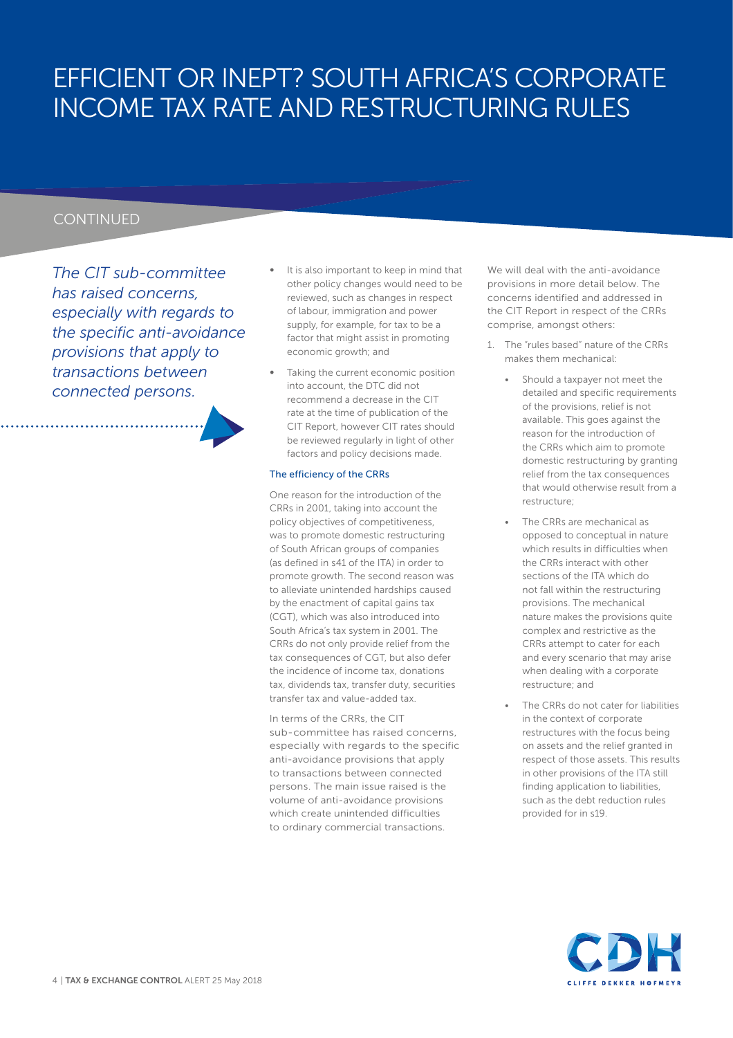#### **CONTINUED**

*The CIT sub-committee has raised concerns, especially with regards to the specific anti-avoidance provisions that apply to transactions between connected persons.* 

- It is also important to keep in mind that other policy changes would need to be reviewed, such as changes in respect of labour, immigration and power supply, for example, for tax to be a factor that might assist in promoting economic growth; and
- Taking the current economic position into account, the DTC did not recommend a decrease in the CIT rate at the time of publication of the CIT Report, however CIT rates should be reviewed regularly in light of other factors and policy decisions made.

#### The efficiency of the CRRs

One reason for the introduction of the CRRs in 2001, taking into account the policy objectives of competitiveness, was to promote domestic restructuring of South African groups of companies (as defined in s41 of the ITA) in order to promote growth. The second reason was to alleviate unintended hardships caused by the enactment of capital gains tax (CGT), which was also introduced into South Africa's tax system in 2001. The CRRs do not only provide relief from the tax consequences of CGT, but also defer the incidence of income tax, donations tax, dividends tax, transfer duty, securities transfer tax and value-added tax.

In terms of the CRRs, the CIT sub-committee has raised concerns, especially with regards to the specific anti-avoidance provisions that apply to transactions between connected persons. The main issue raised is the volume of anti-avoidance provisions which create unintended difficulties to ordinary commercial transactions.

We will deal with the anti-avoidance provisions in more detail below. The concerns identified and addressed in the CIT Report in respect of the CRRs comprise, amongst others:

- 1. The "rules based" nature of the CRRs makes them mechanical:
	- Should a taxpayer not meet the detailed and specific requirements of the provisions, relief is not available. This goes against the reason for the introduction of the CRRs which aim to promote domestic restructuring by granting relief from the tax consequences that would otherwise result from a restructure;
	- The CRRs are mechanical as opposed to conceptual in nature which results in difficulties when the CRRs interact with other sections of the ITA which do not fall within the restructuring provisions. The mechanical nature makes the provisions quite complex and restrictive as the CRRs attempt to cater for each and every scenario that may arise when dealing with a corporate restructure; and
	- The CRRs do not cater for liabilities in the context of corporate restructures with the focus being on assets and the relief granted in respect of those assets. This results in other provisions of the ITA still finding application to liabilities, such as the debt reduction rules provided for in s19.

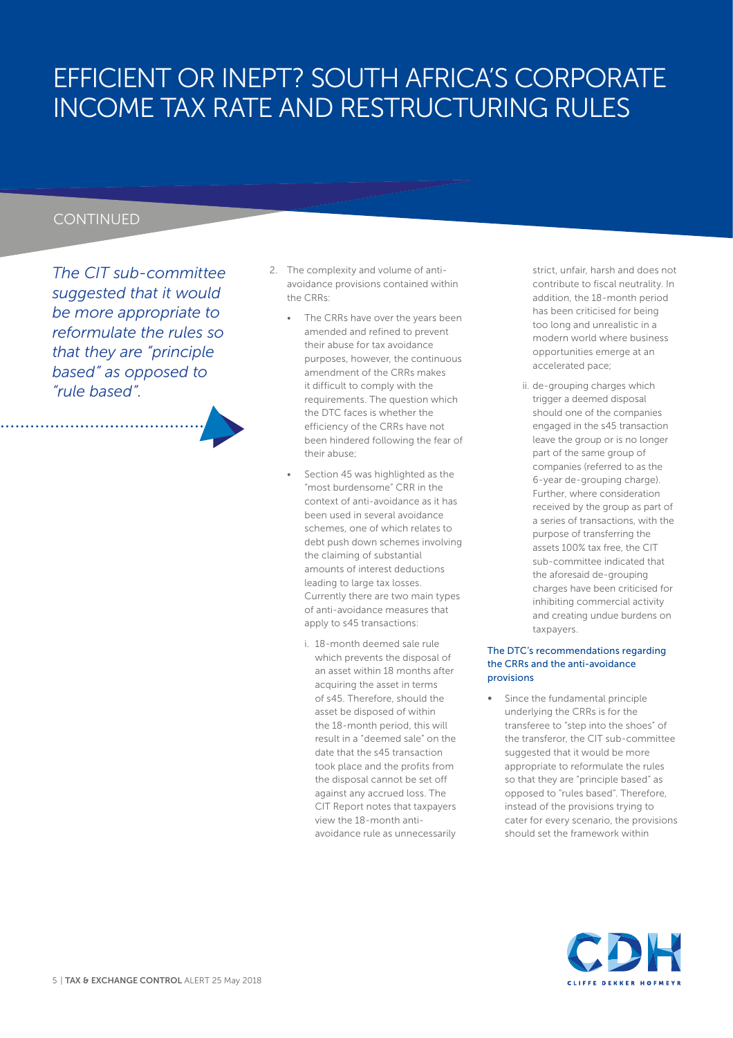#### **CONTINUED**

*The CIT sub-committee suggested that it would be more appropriate to reformulate the rules so that they are "principle based" as opposed to "rule based".* 

- 2. The complexity and volume of antiavoidance provisions contained within the CRRs:
	- The CRRs have over the years been amended and refined to prevent their abuse for tax avoidance purposes, however, the continuous amendment of the CRRs makes it difficult to comply with the requirements. The question which the DTC faces is whether the efficiency of the CRRs have not been hindered following the fear of their abuse;
	- Section 45 was highlighted as the "most burdensome" CRR in the context of anti-avoidance as it has been used in several avoidance schemes, one of which relates to debt push down schemes involving the claiming of substantial amounts of interest deductions leading to large tax losses. Currently there are two main types of anti-avoidance measures that apply to s45 transactions:
		- i. 18-month deemed sale rule which prevents the disposal of an asset within 18 months after acquiring the asset in terms of s45. Therefore, should the asset be disposed of within the 18-month period, this will result in a "deemed sale" on the date that the s45 transaction took place and the profits from the disposal cannot be set off against any accrued loss. The CIT Report notes that taxpayers view the 18-month antiavoidance rule as unnecessarily

strict, unfair, harsh and does not contribute to fiscal neutrality. In addition, the 18-month period has been criticised for being too long and unrealistic in a modern world where business opportunities emerge at an accelerated pace;

ii. de-grouping charges which trigger a deemed disposal should one of the companies engaged in the s45 transaction leave the group or is no longer part of the same group of companies (referred to as the 6-year de-grouping charge). Further, where consideration received by the group as part of a series of transactions, with the purpose of transferring the assets 100% tax free, the CIT sub-committee indicated that the aforesaid de-grouping charges have been criticised for inhibiting commercial activity and creating undue burdens on taxpayers.

#### The DTC's recommendations regarding the CRRs and the anti-avoidance provisions

Since the fundamental principle underlying the CRRs is for the transferee to "step into the shoes" of the transferor, the CIT sub-committee suggested that it would be more appropriate to reformulate the rules so that they are "principle based" as opposed to "rules based". Therefore, instead of the provisions trying to cater for every scenario, the provisions should set the framework within

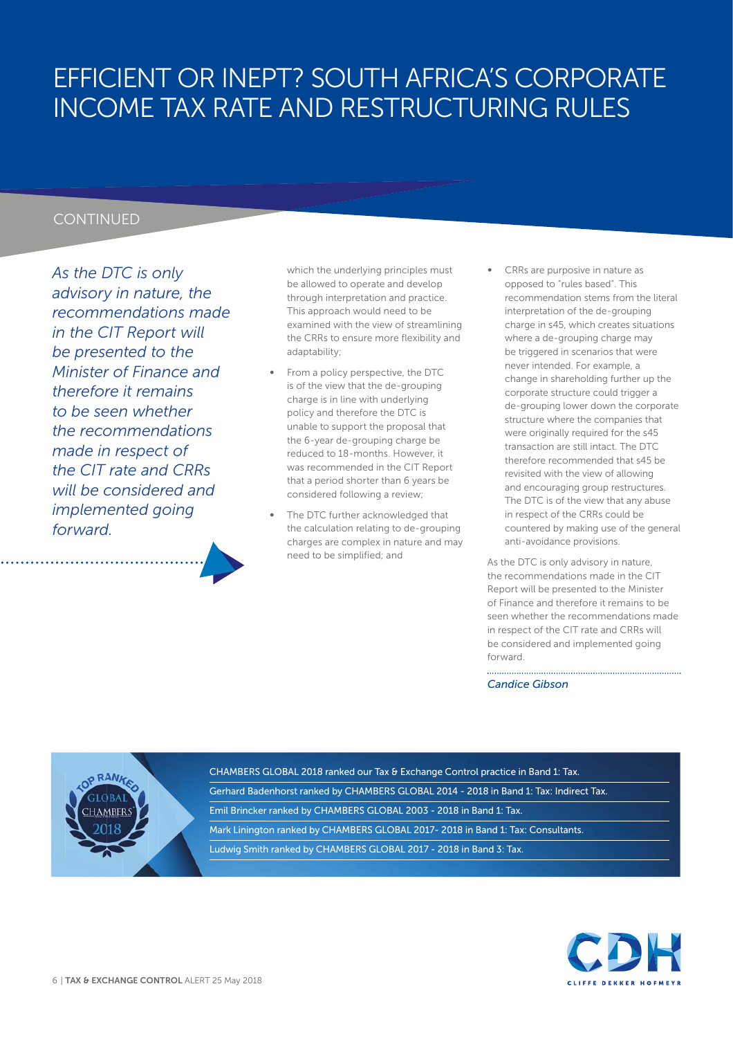#### **CONTINUED**

*As the DTC is only advisory in nature, the recommendations made in the CIT Report will be presented to the Minister of Finance and therefore it remains to be seen whether the recommendations made in respect of the CIT rate and CRRs will be considered and implemented going forward.* 

which the underlying principles must be allowed to operate and develop through interpretation and practice. This approach would need to be examined with the view of streamlining the CRRs to ensure more flexibility and adaptability;

- From a policy perspective, the DTC is of the view that the de-grouping charge is in line with underlying policy and therefore the DTC is unable to support the proposal that the 6-year de-grouping charge be reduced to 18-months. However, it was recommended in the CIT Report that a period shorter than 6 years be considered following a review;
- The DTC further acknowledged that the calculation relating to de-grouping charges are complex in nature and may need to be simplified; and
- CRRs are purposive in nature as opposed to "rules based". This recommendation stems from the literal interpretation of the de-grouping charge in s45, which creates situations where a de-grouping charge may be triggered in scenarios that were never intended. For example, a change in shareholding further up the corporate structure could trigger a de-grouping lower down the corporate structure where the companies that were originally required for the s45 transaction are still intact. The DTC therefore recommended that s45 be revisited with the view of allowing and encouraging group restructures. The DTC is of the view that any abuse in respect of the CRRs could be countered by making use of the general anti-avoidance provisions.

As the DTC is only advisory in nature, the recommendations made in the CIT Report will be presented to the Minister of Finance and therefore it remains to be seen whether the recommendations made in respect of the CIT rate and CRRs will be considered and implemented going forward.

*Candice Gibson*



CHAMBERS GLOBAL 2018 ranked our Tax & Exchange Control practice in Band 1: Tax. Gerhard Badenhorst ranked by CHAMBERS GLOBAL 2014 - 2018 in Band 1: Tax: Indirect Tax. Emil Brincker ranked by CHAMBERS GLOBAL 2003 - 2018 in Band 1: Tax. Mark Linington ranked by CHAMBERS GLOBAL 2017- 2018 in Band 1: Tax: Consultants. Ludwig Smith ranked by CHAMBERS GLOBAL 2017 - 2018 in Band 3: Tax.

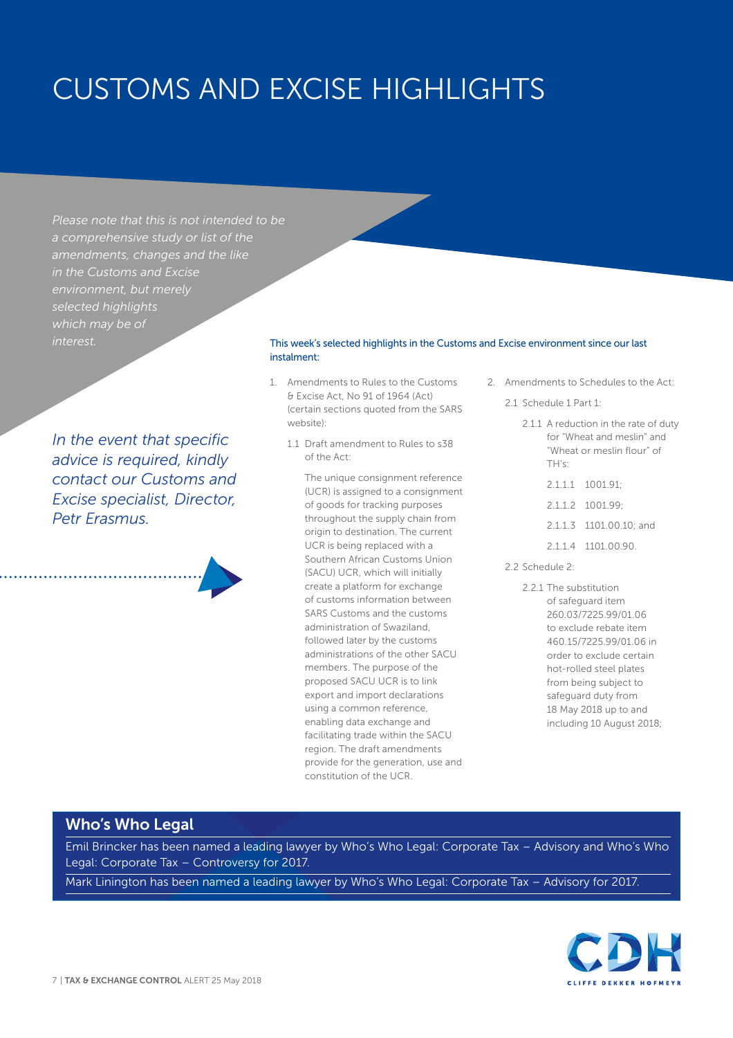## CUSTOMS AND EXCISE HIGHLIGHTS

*Please note that this is not intended to be a comprehensive study or list of the amendments, changes and the like in the Customs and Excise environment, but merely selected highlights which may be of* 

*In the event that specific advice is required, kindly contact our Customs and Excise specialist, Director, Petr Erasmus.*

#### This week's selected highlights in the Customs and Excise environment since our last instalment:

- 1. Amendments to Rules to the Customs & Excise Act, No 91 of 1964 (Act) (certain sections quoted from the SARS website):
	- 1.1 Draft amendment to Rules to s38 of the Act:

The unique consignment reference (UCR) is assigned to a consignment of goods for tracking purposes throughout the supply chain from origin to destination. The current UCR is being replaced with a Southern African Customs Union (SACU) UCR, which will initially create a platform for exchange of customs information between SARS Customs and the customs administration of Swaziland, followed later by the customs administrations of the other SACU members. The purpose of the proposed SACU UCR is to link export and import declarations using a common reference, enabling data exchange and facilitating trade within the SACU region. The draft amendments provide for the generation, use and constitution of the UCR.

2. Amendments to Schedules to the Act:

2.1 Schedule 1 Part 1:

- 2.1.1 A reduction in the rate of duty for "Wheat and meslin" and "Wheat or meslin flour" of TH's:
	- 2.1.1.1 1001.91;
	- 2.1.1.2 1001.99;
	- 2.1.1.3 1101.00.10; and
	- 2.1.1.4 1101.00.90.
- 2.2 Schedule 2:
	- 2.2.1 The substitution of safeguard item 260.03/7225.99/01.06 to exclude rebate item 460.15/7225.99/01.06 in order to exclude certain hot-rolled steel plates from being subject to safeguard duty from 18 May 2018 up to and including 10 August 2018;

#### **Who's Who Legal**

Emil Brincker has been named a leading lawyer by Who's Who Legal: Corporate Tax – Advisory and Who's Who Legal: Corporate Tax – Controversy for 2017.

Mark Linington has been named a leading lawyer by Who's Who Legal: Corporate Tax – Advisory for 2017.

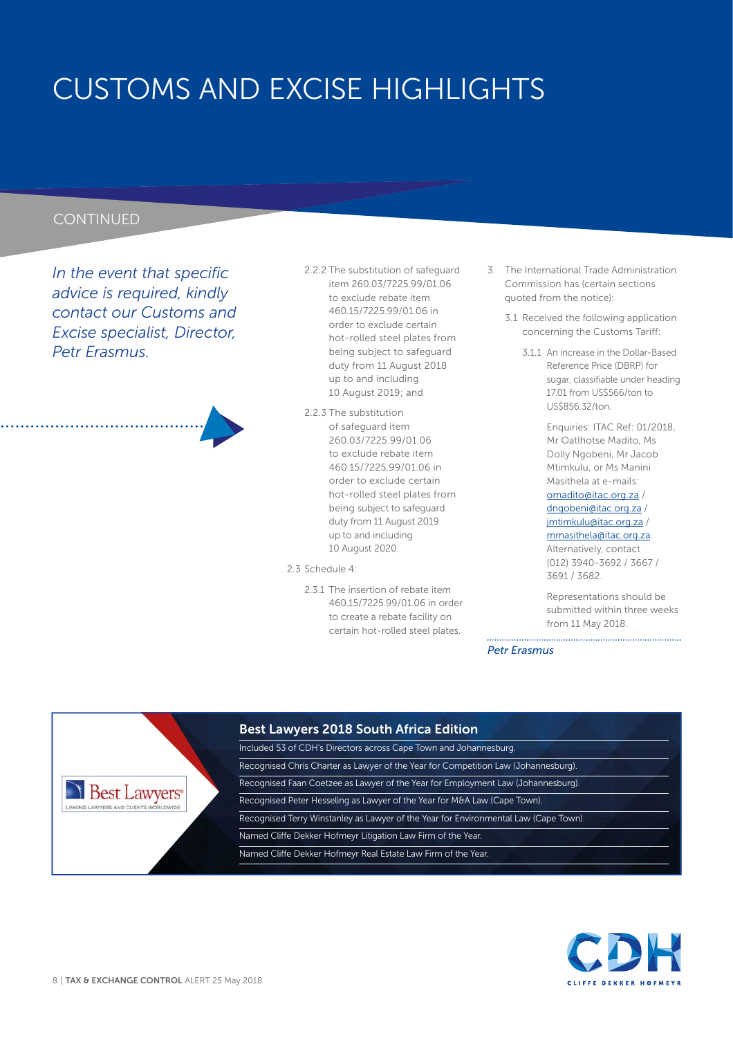## CUSTOMS AND EXCISE HIGHLIGHTS

#### **CONTINUED**

*In the event that specific advice is required, kindly contact our Customs and Excise specialist, Director, Petr Erasmus.*



- 2.2.2 The substitution of safeguard item 260.03/7225.99/01.06 to exclude rebate item 460.15/7225.99/01.06 in order to exclude certain hot-rolled steel plates from being subject to safeguard duty from 11 August 2018 up to and including 10 August 2019; and
- 2.2.3 The substitution of safeguard item 260.03/7225.99/01.06 to exclude rebate item 460.15/7225.99/01.06 in order to exclude certain hot-rolled steel plates from being subject to safeguard duty from 11 August 2019 up to and including 10 August 2020.

2.3 Schedule 4:

2.3.1 The insertion of rebate item 460.15/7225.99/01.06 in order to create a rebate facility on certain hot-rolled steel plates.

- 3. The International Trade Administration Commission has (certain sections quoted from the notice):
	- 3.1 Received the following application concerning the Customs Tariff:
		- 3.1.1 An increase in the Dollar-Based Reference Price (DBRP) for sugar, classifiable under heading 17.01 from US\$566/ton to US\$856.32/ton.

Enquiries: ITAC Ref: 01/2018, Mr Oatlhotse Madito, Ms Dolly Ngobeni, Mr Jacob Mtimkulu, or Ms Manini Masithela at e-mails:

omadito@itac.org.za / dngobeni@itac.org.za / jmtimkulu@itac.org.za / mmasithela@itac.org.za.

Alternatively, contact (012) 3940-3692 / 3667 / 3691 / 3682.

Representations should be submitted within three weeks from 11 May 2018.

*Petr Erasmus* 



#### **Best Lawyers 2018 South Africa Edition**

Included 53 of CDH's Directors across Cape Town and Johannesburg. Recognised Chris Charter as Lawyer of the Year for Competition Law (Johannesburg). Recognised Faan Coetzee as Lawyer of the Year for Employment Law (Johannesburg). Recognised Peter Hesseling as Lawyer of the Year for M&A Law (Cape Town). Recognised Terry Winstanley as Lawyer of the Year for Environmental Law (Cape Town). Named Cliffe Dekker Hofmeyr Litigation Law Firm of the Year. Named Cliffe Dekker Hofmeyr Real Estate Law Firm of the Year.